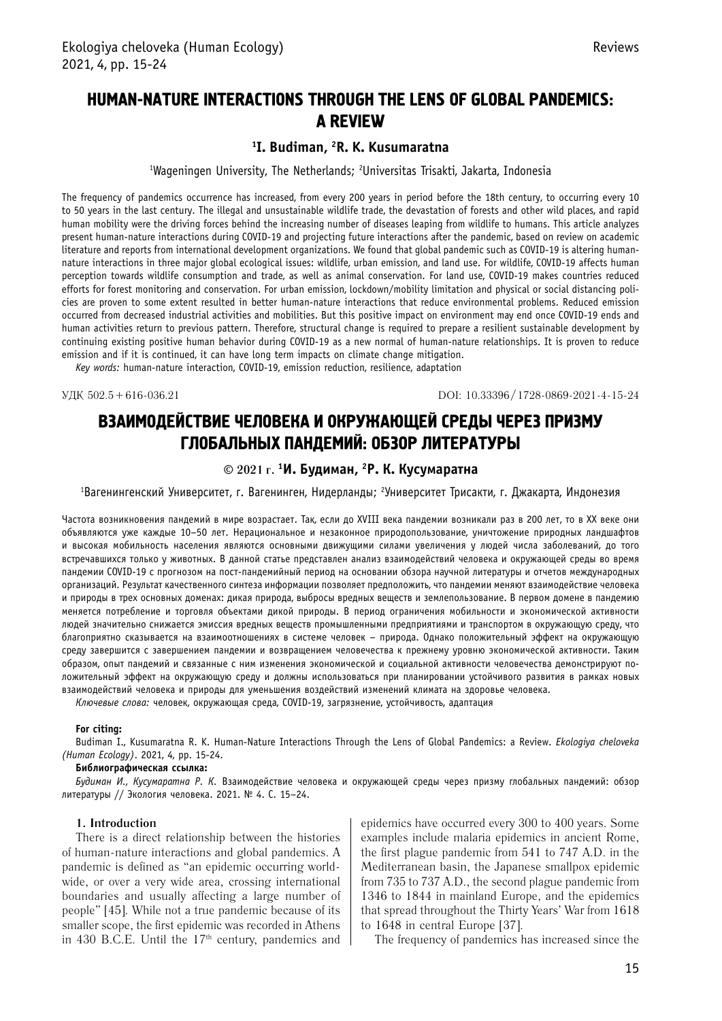# HUMAN-NATURE INTERACTIONS THROUGH THE LENS OF GLOBAL PANDEMICS: A REVIEW

# **1 I. Budiman, 2 R. K. Kusumaratna**

<sup>1</sup>Wageningen University, The Netherlands; <sup>2</sup>Universitas Trisakti, Jakarta, Indonesia

The frequency of pandemics occurrence has increased, from every 200 years in period before the 18th century, to occurring every 10 to 50 years in the last century. The illegal and unsustainable wildlife trade, the devastation of forests and other wild places, and rapid human mobility were the driving forces behind the increasing number of diseases leaping from wildlife to humans. This article analyzes present human-nature interactions during COVID-19 and projecting future interactions after the pandemic, based on review on academic literature and reports from international development organizations. We found that global pandemic such as COVID-19 is altering humannature interactions in three major global ecological issues: wildlife, urban emission, and land use. For wildlife, COVID-19 affects human perception towards wildlife consumption and trade, as well as animal conservation. For land use, COVID-19 makes countries reduced efforts for forest monitoring and conservation. For urban emission, lockdown/mobility limitation and physical or social distancing policies are proven to some extent resulted in better human-nature interactions that reduce environmental problems. Reduced emission occurred from decreased industrial activities and mobilities. But this positive impact on environment may end once COVID-19 ends and human activities return to previous pattern. Therefore, structural change is required to prepare a resilient sustainable development by continuing existing positive human behavior during COVID-19 as a new normal of human-nature relationships. It is proven to reduce emission and if it is continued, it can have long term impacts on climate change mitigation.

*Key words:* human-nature interaction, COVID-19, emission reduction, resilience, adaptation

УДК 502.5 + 616-036.21 DOI: 10.33396 / 1728-0869-2021-4-15-24

# ВЗАИМОДЕЙСТВИЕ ЧЕЛОВЕКА И ОКРУЖАЮЩЕЙ СРЕДЫ ЧЕРЕЗ ПРИЗМУ ГЛОБАЛЬНЫХ ПАНДЕМИЙ: ОБЗОР ЛИТЕРАТУРЫ

## **© 2021 г. <sup>1</sup> И. Будиман, 2 Р. К. Кусумаратна**

<sup>1</sup>Вагенингенский Университет, г. Вагенинген, Нидерланды; <sup>г</sup>Университет Трисакти, г. Джакарта, Индонезия

Частота возникновения пандемий в мире возрастает. Так, если до XVIII века пандемии возникали раз в 200 лет, то в XX веке они объявляются уже каждые 10–50 лет. Нерациональное и незаконное природопользование, уничтожение природных ландшафтов и высокая мобильность населения являются основными движущими силами увеличения у людей числа заболеваний, до того встречавшихся только у животных. В данной статье представлен анализ взаимодействий человека и окружающей среды во время пандемии COVID-19 с прогнозом на пост-пандемийный период на основании обзора научной литературы и отчетов международных организаций. Результат качественного синтеза информации позволяет предположить, что пандемии меняют взаимодействие человека и природы в трех основных доменах: дикая природа, выбросы вредных веществ и землепользование. В первом домене в пандемию меняется потребление и торговля объектами дикой природы. В период ограничения мобильности и экономической активности людей значительно снижается эмиссия вредных веществ промышленными предприятиями и транспортом в окружающую среду, что благоприятно сказывается на взаимоотношениях в системе человек – природа. Однако положительный эффект на окружающую среду завершится с завершением пандемии и возвращением человечества к прежнему уровню экономической активности. Таким образом, опыт пандемий и связанные с ним изменения экономической и социальной активности человечества демонстрируют положительный эффект на окружающую среду и должны использоваться при планировании устойчивого развития в рамках новых взаимодействий человека и природы для уменьшения воздействий изменений климата на здоровье человека.

*Ключевые слова:* человек, окружающая среда, COVID-19, загрязнение, устойчивость, адаптация

#### **For citing:**

Budiman I., Kusumaratna R. K. Human-Nature Interactions Through the Lens of Global Pandemics: a Review. *Ekologiya cheloveka (Human Ecology)*. 2021, 4, pp. 15-24.

#### **Библиографическая ссылка:**

*Будиман И., Кусумаратна Р. К.* Взаимодействие человека и окружающей среды через призму глобальных пандемий: обзор литературы // Экология человека. 2021. № 4. С. 15–24.

#### **1. Introduction**

There is a direct relationship between the histories of human-nature interactions and global pandemics. A pandemic is defined as "an epidemic occurring worldwide, or over a very wide area, crossing international boundaries and usually affecting a large number of people" [45]. While not a true pandemic because of its smaller scope, the first epidemic was recorded in Athens in 430 B.C.E. Until the  $17<sup>th</sup>$  century, pandemics and epidemics have occurred every 300 to 400 years. Some examples include malaria epidemics in ancient Rome, the first plague pandemic from 541 to 747 A.D. in the Mediterranean basin, the Japanese smallpox epidemic from 735 to 737 A.D., the second plague pandemic from 1346 to 1844 in mainland Europe, and the epidemics that spread throughout the Thirty Years' War from 1618 to 1648 in central Europe [37].

The frequency of pandemics has increased since the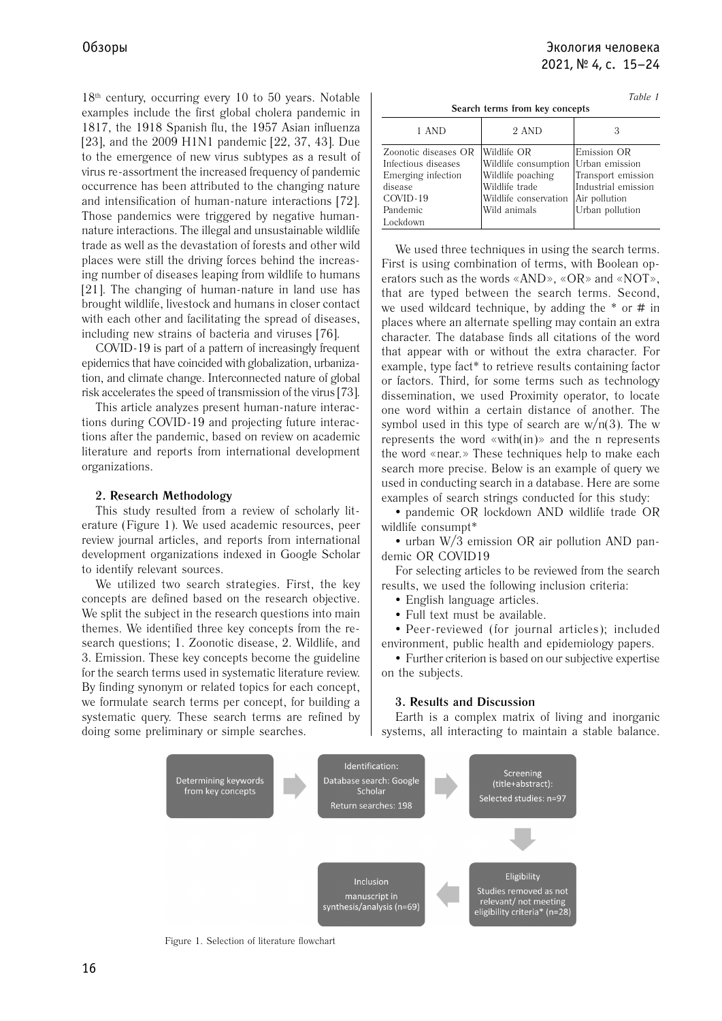18th century, occurring every 10 to 50 years. Notable examples include the first global cholera pandemic in 1817, the 1918 Spanish flu, the 1957 Asian influenza [23], and the 2009 H1N1 pandemic [22, 37, 43]. Due to the emergence of new virus subtypes as a result of virus re-assortment the increased frequency of pandemic occurrence has been attributed to the changing nature and intensification of human-nature interactions [72]. Those pandemics were triggered by negative humannature interactions. The illegal and unsustainable wildlife trade as well as the devastation of forests and other wild places were still the driving forces behind the increasing number of diseases leaping from wildlife to humans [21]. The changing of human-nature in land use has brought wildlife, livestock and humans in closer contact with each other and facilitating the spread of diseases, including new strains of bacteria and viruses [76].

COVID-19 is part of a pattern of increasingly frequent epidemics that have coincided with globalization, urbanization, and climate change. Interconnected nature of global risk accelerates the speed of transmission of the virus [73].

This article analyzes present human-nature interactions during COVID-19 and projecting future interactions after the pandemic, based on review on academic literature and reports from international development organizations.

### **2. Research Methodology**

This study resulted from a review of scholarly literature (Figure 1). We used academic resources, peer review journal articles, and reports from international development organizations indexed in Google Scholar to identify relevant sources.

We utilized two search strategies. First, the key concepts are defined based on the research objective. We split the subject in the research questions into main themes. We identified three key concepts from the research questions; 1. Zoonotic disease, 2. Wildlife, and 3. Emission. These key concepts become the guideline for the search terms used in systematic literature review. By finding synonym or related topics for each concept, we formulate search terms per concept, for building a systematic query. These search terms are refined by doing some preliminary or simple searches.

| Table 1<br>Search terms from key concepts                                                                        |                                                                                                                     |                                                                                                                |  |  |
|------------------------------------------------------------------------------------------------------------------|---------------------------------------------------------------------------------------------------------------------|----------------------------------------------------------------------------------------------------------------|--|--|
| 1 AND                                                                                                            | 2 AND                                                                                                               | З                                                                                                              |  |  |
| Zoonotic diseases OR<br>Infectious diseases<br>Emerging infection<br>disease<br>COVID-19<br>Pandemic<br>Lockdown | Wildlife OR<br>Wildlife consumption<br>Wildlife poaching<br>Wildlife trade<br>Wildlife conservation<br>Wild animals | Emission OR<br>Urban emission<br>Transport emission<br>Industrial emission<br>Air pollution<br>Urban pollution |  |  |

We used three techniques in using the search terms. First is using combination of terms, with Boolean operators such as the words «AND», «OR» and «NOT», that are typed between the search terms. Second, we used wildcard technique, by adding the  $*$  or  $#$  in places where an alternate spelling may contain an extra character. The database finds all citations of the word that appear with or without the extra character. For example, type fact\* to retrieve results containing factor or factors. Third, for some terms such as technology dissemination, we used Proximity operator, to locate one word within a certain distance of another. The symbol used in this type of search are  $w/n(3)$ . The w represents the word «with(in)» and the n represents the word «near.» These techniques help to make each search more precise. Below is an example of query we used in conducting search in a database. Here are some examples of search strings conducted for this study:

 pandemic OR lockdown AND wildlife trade OR wildlife consumpt\*

• urban W/3 emission OR air pollution AND pandemic OR COVID19

For selecting articles to be reviewed from the search results, we used the following inclusion criteria:

- English language articles.
- Full text must be available.

 Peer-reviewed (for journal articles); included environment, public health and epidemiology papers.

 Further criterion is based on our subjective expertise on the subjects.

### **3. Results and Discussion**

Earth is a complex matrix of living and inorganic systems, all interacting to maintain a stable balance.



Figure 1. Selection of literature flowchart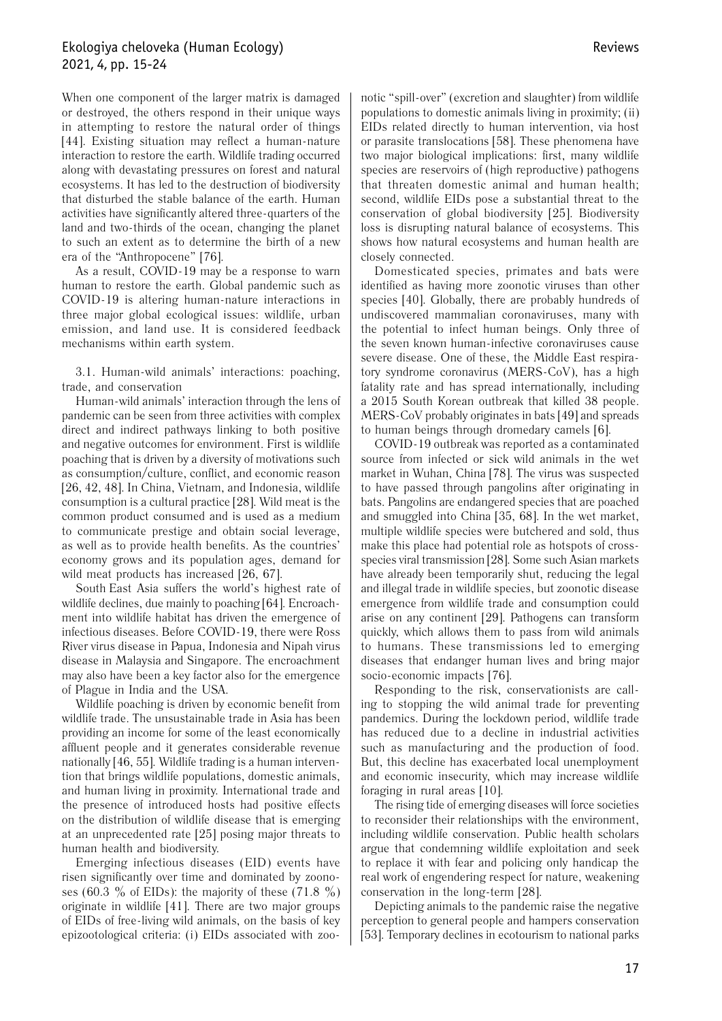When one component of the larger matrix is damaged or destroyed, the others respond in their unique ways in attempting to restore the natural order of things [44]. Existing situation may reflect a human-nature interaction to restore the earth. Wildlife trading occurred along with devastating pressures on forest and natural ecosystems. It has led to the destruction of biodiversity that disturbed the stable balance of the earth. Human activities have significantly altered three-quarters of the land and two-thirds of the ocean, changing the planet to such an extent as to determine the birth of a new era of the "Anthropocene" [76].

As a result, COVID-19 may be a response to warn human to restore the earth. Global pandemic such as COVID-19 is altering human-nature interactions in three major global ecological issues: wildlife, urban emission, and land use. It is considered feedback mechanisms within earth system.

3.1. Human-wild animals' interactions: poaching, trade, and conservation

Human-wild animals' interaction through the lens of pandemic can be seen from three activities with complex direct and indirect pathways linking to both positive and negative outcomes for environment. First is wildlife poaching that is driven by a diversity of motivations such as consumption/culture, conflict, and economic reason [26, 42, 48]. In China, Vietnam, and Indonesia, wildlife consumption is a cultural practice [28]. Wild meat is the common product consumed and is used as a medium to communicate prestige and obtain social leverage, as well as to provide health benefits. As the countries' economy grows and its population ages, demand for wild meat products has increased [26, 67].

South East Asia suffers the world's highest rate of wildlife declines, due mainly to poaching [64]. Encroachment into wildlife habitat has driven the emergence of infectious diseases. Before COVID-19, there were Ross River virus disease in Papua, Indonesia and Nipah virus disease in Malaysia and Singapore. The encroachment may also have been a key factor also for the emergence of Plague in India and the USA.

Wildlife poaching is driven by economic benefit from wildlife trade. The unsustainable trade in Asia has been providing an income for some of the least economically affluent people and it generates considerable revenue nationally [46, 55]. Wildlife trading is a human intervention that brings wildlife populations, domestic animals, and human living in proximity. International trade and the presence of introduced hosts had positive effects on the distribution of wildlife disease that is emerging at an unprecedented rate [25] posing major threats to human health and biodiversity.

Emerging infectious diseases (EID) events have risen significantly over time and dominated by zoonoses (60.3 % of EIDs): the majority of these (71.8 %) originate in wildlife [41]. There are two major groups of EIDs of free-living wild animals, on the basis of key epizootological criteria: (i) EIDs associated with zoo-

notic "spill-over" (excretion and slaughter) from wildlife populations to domestic animals living in proximity; (ii) EIDs related directly to human intervention, via host or parasite translocations [58]. These phenomena have two major biological implications: first, many wildlife species are reservoirs of (high reproductive) pathogens that threaten domestic animal and human health; second, wildlife EIDs pose a substantial threat to the conservation of global biodiversity [25]. Biodiversity loss is disrupting natural balance of ecosystems. This shows how natural ecosystems and human health are closely connected.

Domesticated species, primates and bats were identified as having more zoonotic viruses than other species [40]. Globally, there are probably hundreds of undiscovered mammalian coronaviruses, many with the potential to infect human beings. Only three of the seven known human-infective coronaviruses cause severe disease. One of these, the Middle East respiratory syndrome coronavirus (MERS-CoV), has a high fatality rate and has spread internationally, including a 2015 South Korean outbreak that killed 38 people. MERS-CoV probably originates in bats [49] and spreads to human beings through dromedary camels [6].

COVID-19 outbreak was reported as a contaminated source from infected or sick wild animals in the wet market in Wuhan, China [78]. The virus was suspected to have passed through pangolins after originating in bats. Pangolins are endangered species that are poached and smuggled into China [35, 68]. In the wet market, multiple wildlife species were butchered and sold, thus make this place had potential role as hotspots of crossspecies viral transmission [28]. Some such Asian markets have already been temporarily shut, reducing the legal and illegal trade in wildlife species, but zoonotic disease emergence from wildlife trade and consumption could arise on any continent [29]. Pathogens can transform quickly, which allows them to pass from wild animals to humans. These transmissions led to emerging diseases that endanger human lives and bring major socio-economic impacts [76].

Responding to the risk, conservationists are calling to stopping the wild animal trade for preventing pandemics. During the lockdown period, wildlife trade has reduced due to a decline in industrial activities such as manufacturing and the production of food. But, this decline has exacerbated local unemployment and economic insecurity, which may increase wildlife foraging in rural areas [10].

The rising tide of emerging diseases will force societies to reconsider their relationships with the environment, including wildlife conservation. Public health scholars argue that condemning wildlife exploitation and seek to replace it with fear and policing only handicap the real work of engendering respect for nature, weakening conservation in the long-term [28].

Depicting animals to the pandemic raise the negative perception to general people and hampers conservation [53]. Temporary declines in ecotourism to national parks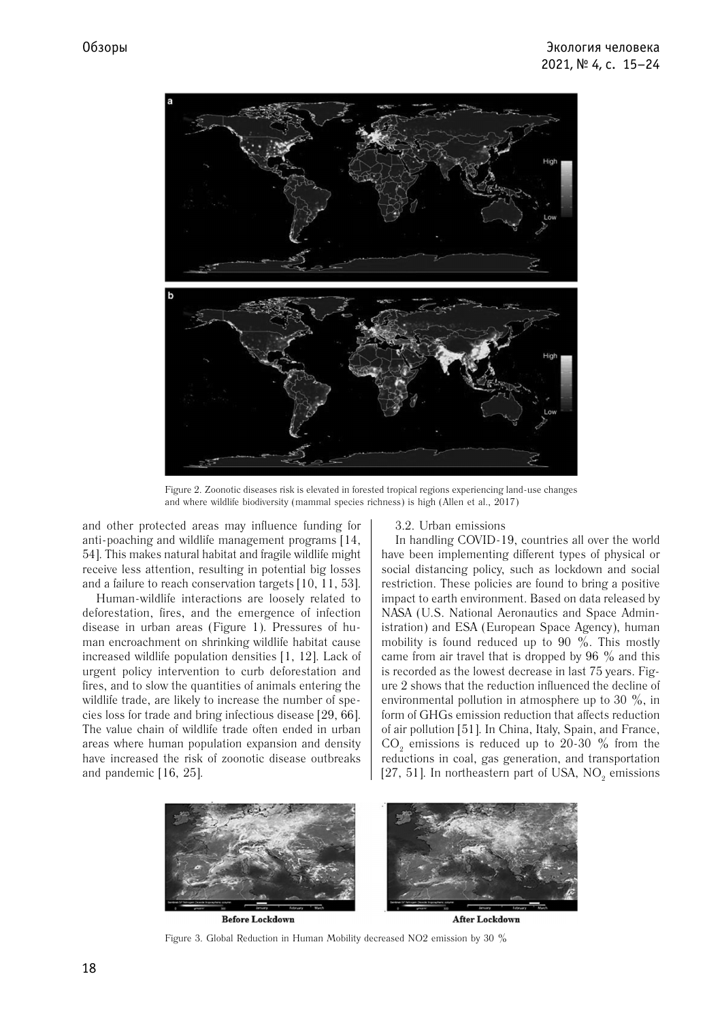

Figure 2. Zoonotic diseases risk is elevated in forested tropical regions experiencing land-use changes and where wildlife biodiversity (mammal species richness) is high (Allen et al., 2017)

and other protected areas may influence funding for anti-poaching and wildlife management programs [14, 54]. This makes natural habitat and fragile wildlife might receive less attention, resulting in potential big losses and a failure to reach conservation targets [10, 11, 53].

Human-wildlife interactions are loosely related to deforestation, fires, and the emergence of infection disease in urban areas (Figure 1). Pressures of human encroachment on shrinking wildlife habitat cause increased wildlife population densities [1, 12]. Lack of urgent policy intervention to curb deforestation and fires, and to slow the quantities of animals entering the wildlife trade, are likely to increase the number of species loss for trade and bring infectious disease [29, 66]. The value chain of wildlife trade often ended in urban areas where human population expansion and density have increased the risk of zoonotic disease outbreaks and pandemic [16, 25].

#### 3.2. Urban emissions

In handling COVID-19, countries all over the world have been implementing different types of physical or social distancing policy, such as lockdown and social restriction. These policies are found to bring a positive impact to earth environment. Based on data released by NASA (U.S. National Aeronautics and Space Administration) and ESA (European Space Agency), human mobility is found reduced up to 90 %. This mostly came from air travel that is dropped by  $96\%$  and this is recorded as the lowest decrease in last 75 years. Figure 2 shows that the reduction influenced the decline of environmental pollution in atmosphere up to 30  $\%$ , in form of GHGs emission reduction that affects reduction of air pollution [51]. In China, Italy, Spain, and France,  $CO<sub>2</sub>$  emissions is reduced up to 20-30  $\%$  from the reductions in coal, gas generation, and transportation [27, 51]. In northeastern part of USA,  $NO_2$  emissions



Figure 3. Global Reduction in Human Mobility decreased NO2 emission by 30 %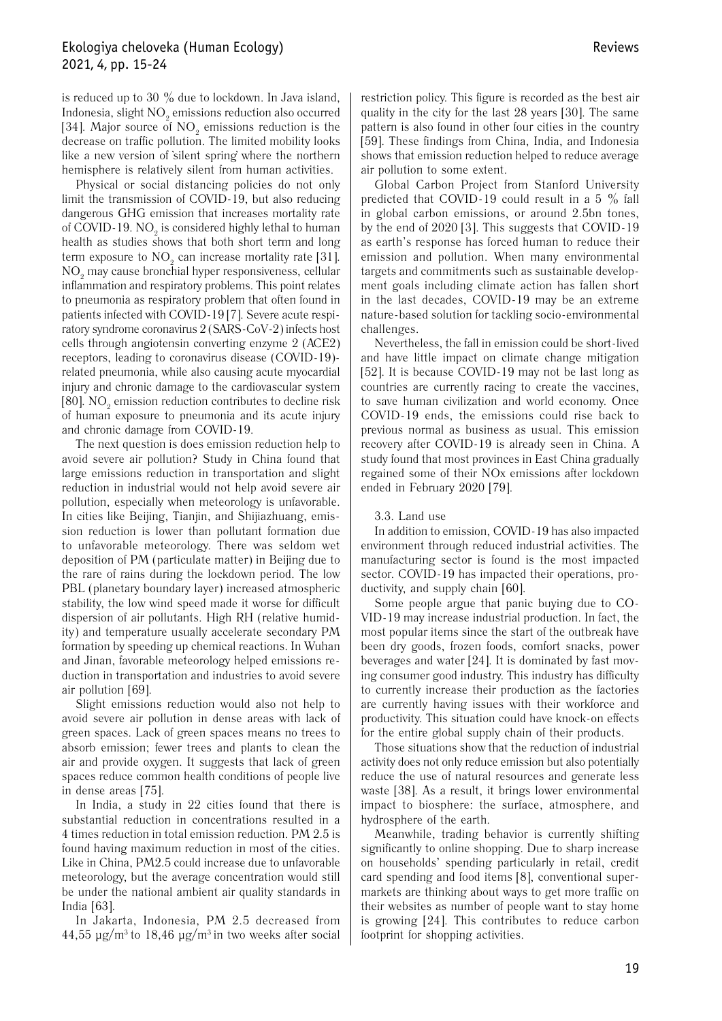## Ekologiya cheloveka (Human Ecology) 2021, 4, pp. 15-24

is reduced up to 30  $\%$  due to lockdown. In Java island, Indonesia, slight  $NO<sub>2</sub>$  emissions reduction also occurred [34]. Major source of  $\mathrm{NO}_2$  emissions reduction is the decrease on traffic pollution. The limited mobility looks like a new version of silent spring where the northern hemisphere is relatively silent from human activities.

Physical or social distancing policies do not only limit the transmission of COVID-19, but also reducing dangerous GHG emission that increases mortality rate of COVID-19.  $NO<sub>2</sub>$  is considered highly lethal to human health as studies shows that both short term and long term exposure to  $NO_2$  can increase mortality rate [31].  $NO<sub>2</sub>$  may cause bronchial hyper responsiveness, cellular inflammation and respiratory problems. This point relates to pneumonia as respiratory problem that often found in patients infected with COVID-19 [7]. Severe acute respiratory syndrome coronavirus 2 (SARS-CoV-2) infects host cells through angiotensin converting enzyme 2 (ACE2) receptors, leading to coronavirus disease (COVID-19) related pneumonia, while also causing acute myocardial injury and chronic damage to the cardiovascular system [80].  $\rm NO_{2}$  emission reduction contributes to decline risk of human exposure to pneumonia and its acute injury and chronic damage from COVID-19.

The next question is does emission reduction help to avoid severe air pollution? Study in China found that large emissions reduction in transportation and slight reduction in industrial would not help avoid severe air pollution, especially when meteorology is unfavorable. In cities like Beijing, Tianjin, and Shijiazhuang, emission reduction is lower than pollutant formation due to unfavorable meteorology. There was seldom wet deposition of PM (particulate matter) in Beijing due to the rare of rains during the lockdown period. The low PBL (planetary boundary layer) increased atmospheric stability, the low wind speed made it worse for difficult dispersion of air pollutants. High RH (relative humidity) and temperature usually accelerate secondary PM formation by speeding up chemical reactions. In Wuhan and Jinan, favorable meteorology helped emissions reduction in transportation and industries to avoid severe air pollution [69].

Slight emissions reduction would also not help to avoid severe air pollution in dense areas with lack of green spaces. Lack of green spaces means no trees to absorb emission; fewer trees and plants to clean the air and provide oxygen. It suggests that lack of green spaces reduce common health conditions of people live in dense areas [75].

In India, a study in 22 cities found that there is substantial reduction in concentrations resulted in a 4 times reduction in total emission reduction. PM 2.5 is found having maximum reduction in most of the cities. Like in China, PM2.5 could increase due to unfavorable meteorology, but the average concentration would still be under the national ambient air quality standards in India [63].

In Jakarta, Indonesia, PM 2.5 decreased from  $44,55 \mu$ g/m<sup>3</sup> to 18,46  $\mu$ g/m<sup>3</sup> in two weeks after social

restriction policy. This figure is recorded as the best air quality in the city for the last 28 years [30]. The same pattern is also found in other four cities in the country [59]. These findings from China, India, and Indonesia shows that emission reduction helped to reduce average air pollution to some extent.

Global Carbon Project from Stanford University predicted that COVID-19 could result in a 5  $\%$  fall in global carbon emissions, or around 2.5bn tones, by the end of 2020 [3]. This suggests that COVID-19 as earth's response has forced human to reduce their emission and pollution. When many environmental targets and commitments such as sustainable development goals including climate action has fallen short in the last decades, COVID-19 may be an extreme nature-based solution for tackling socio-environmental challenges.

Nevertheless, the fall in emission could be short-lived and have little impact on climate change mitigation [52]. It is because COVID-19 may not be last long as countries are currently racing to create the vaccines, to save human civilization and world economy. Once COVID-19 ends, the emissions could rise back to previous normal as business as usual. This emission recovery after COVID-19 is already seen in China. A study found that most provinces in East China gradually regained some of their NOx emissions after lockdown ended in February 2020 [79].

#### 3.3. Land use

In addition to emission, COVID-19 has also impacted environment through reduced industrial activities. The manufacturing sector is found is the most impacted sector. COVID-19 has impacted their operations, productivity, and supply chain [60].

Some people argue that panic buying due to CO-VID-19 may increase industrial production. In fact, the most popular items since the start of the outbreak have been dry goods, frozen foods, comfort snacks, power beverages and water [24]. It is dominated by fast moving consumer good industry. This industry has difficulty to currently increase their production as the factories are currently having issues with their workforce and productivity. This situation could have knock-on effects for the entire global supply chain of their products.

Those situations show that the reduction of industrial activity does not only reduce emission but also potentially reduce the use of natural resources and generate less waste [38]. As a result, it brings lower environmental impact to biosphere: the surface, atmosphere, and hydrosphere of the earth.

Meanwhile, trading behavior is currently shifting significantly to online shopping. Due to sharp increase on households' spending particularly in retail, credit card spending and food items [8], conventional supermarkets are thinking about ways to get more traffic on their websites as number of people want to stay home is growing [24]. This contributes to reduce carbon footprint for shopping activities.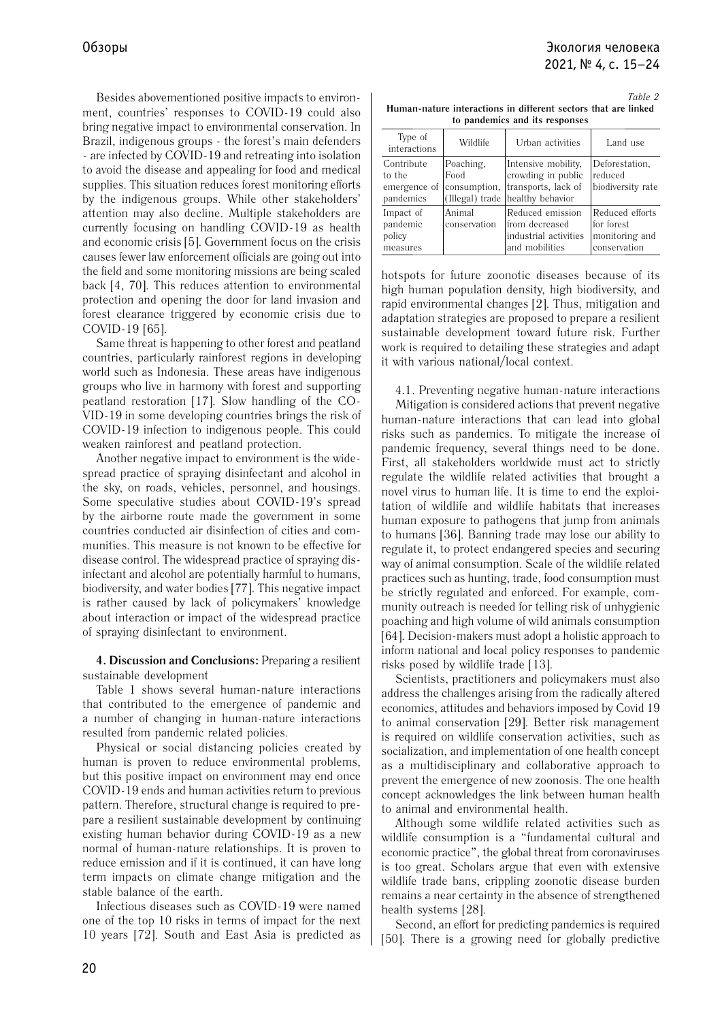Besides abovementioned positive impacts to environment, countries' responses to COVID-19 could also bring negative impact to environmental conservation. In Brazil, indigenous groups - the forest's main defenders - are infected by COVID-19 and retreating into isolation to avoid the disease and appealing for food and medical supplies. This situation reduces forest monitoring efforts by the indigenous groups. While other stakeholders' attention may also decline. Multiple stakeholders are currently focusing on handling COVID-19 as health and economic crisis [5]. Government focus on the crisis causes fewer law enforcement officials are going out into the field and some monitoring missions are being scaled back [4, 70]. This reduces attention to environmental protection and opening the door for land invasion and forest clearance triggered by economic crisis due to COVID-19 [65].

Same threat is happening to other forest and peatland countries, particularly rainforest regions in developing world such as Indonesia. These areas have indigenous groups who live in harmony with forest and supporting peatland restoration [17]. Slow handling of the CO-VID-19 in some developing countries brings the risk of COVID-19 infection to indigenous people. This could weaken rainforest and peatland protection.

Another negative impact to environment is the widespread practice of spraying disinfectant and alcohol in the sky, on roads, vehicles, personnel, and housings. Some speculative studies about COVID-19's spread by the airborne route made the government in some countries conducted air disinfection of cities and communities. This measure is not known to be effective for disease control. The widespread practice of spraying disinfectant and alcohol are potentially harmful to humans, biodiversity, and water bodies [77]. This negative impact is rather caused by lack of policymakers' knowledge about interaction or impact of the widespread practice of spraying disinfectant to environment.

## **4. Discussion and Conclusions:** Preparing a resilient sustainable development

Table 1 shows several human-nature interactions that contributed to the emergence of pandemic and a number of changing in human-nature interactions resulted from pandemic related policies.

Physical or social distancing policies created by human is proven to reduce environmental problems, but this positive impact on environment may end once COVID-19 ends and human activities return to previous pattern. Therefore, structural change is required to prepare a resilient sustainable development by continuing existing human behavior during COVID-19 as a new normal of human-nature relationships. It is proven to reduce emission and if it is continued, it can have long term impacts on climate change mitigation and the stable balance of the earth.

Infectious diseases such as COVID-19 were named one of the top 10 risks in terms of impact for the next 10 years [72]. South and East Asia is predicted as

*Table 2* **Human-nature interactions in different sectors that are linked to pandemics and its responses**

| Type of<br>interactions                           | Wildlife                          | Urban activities                                                                                     | Land use                                                        |
|---------------------------------------------------|-----------------------------------|------------------------------------------------------------------------------------------------------|-----------------------------------------------------------------|
| Contribute<br>to the<br>emergence of<br>pandemics | Poaching,<br>Food<br>consumption, | Intensive mobility,<br>crowding in public<br>transports, lack of<br>(Illegal) trade healthy behavior | Deforestation,<br>reduced<br>biodiversity rate                  |
| Impact of<br>pandemic<br>policy<br>measures       | Animal<br>conservation            | Reduced emission<br>lfrom decreased<br>industrial activities<br>and mobilities                       | Reduced efforts<br>for forest<br>monitoring and<br>conservation |

hotspots for future zoonotic diseases because of its high human population density, high biodiversity, and rapid environmental changes [2]. Thus, mitigation and adaptation strategies are proposed to prepare a resilient sustainable development toward future risk. Further work is required to detailing these strategies and adapt it with various national/local context.

4.1. Preventing negative human-nature interactions Mitigation is considered actions that prevent negative human-nature interactions that can lead into global risks such as pandemics. To mitigate the increase of pandemic frequency, several things need to be done. First, all stakeholders worldwide must act to strictly regulate the wildlife related activities that brought a novel virus to human life. It is time to end the exploitation of wildlife and wildlife habitats that increases human exposure to pathogens that jump from animals to humans [36]. Banning trade may lose our ability to regulate it, to protect endangered species and securing way of animal consumption. Scale of the wildlife related practices such as hunting, trade, food consumption must be strictly regulated and enforced. For example, community outreach is needed for telling risk of unhygienic poaching and high volume of wild animals consumption [64]. Decision-makers must adopt a holistic approach to inform national and local policy responses to pandemic risks posed by wildlife trade [13].

Scientists, practitioners and policymakers must also address the challenges arising from the radically altered economics, attitudes and behaviors imposed by Covid 19 to animal conservation [29]. Better risk management is required on wildlife conservation activities, such as socialization, and implementation of one health concept as a multidisciplinary and collaborative approach to prevent the emergence of new zoonosis. The one health concept acknowledges the link between human health to animal and environmental health.

Although some wildlife related activities such as wildlife consumption is a "fundamental cultural and economic practice", the global threat from coronaviruses is too great. Scholars argue that even with extensive wildlife trade bans, crippling zoonotic disease burden remains a near certainty in the absence of strengthened health systems [28].

Second, an effort for predicting pandemics is required [50]. There is a growing need for globally predictive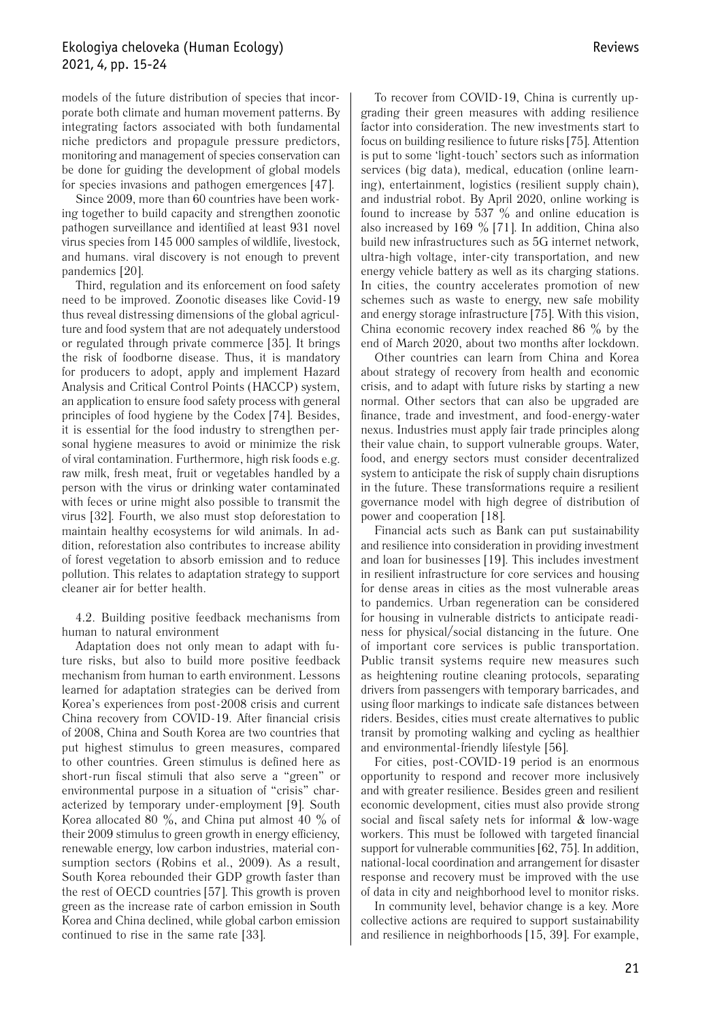## Ekologiya cheloveka (Human Ecology) 2021, 4, pp. 15-24

models of the future distribution of species that incorporate both climate and human movement patterns. By integrating factors associated with both fundamental niche predictors and propagule pressure predictors, monitoring and management of species conservation can be done for guiding the development of global models for species invasions and pathogen emergences [47].

Since 2009, more than 60 countries have been working together to build capacity and strengthen zoonotic pathogen surveillance and identified at least 931 novel virus species from 145 000 samples of wildlife, livestock, and humans. viral discovery is not enough to prevent pandemics [20].

Third, regulation and its enforcement on food safety need to be improved. Zoonotic diseases like Covid-19 thus reveal distressing dimensions of the global agriculture and food system that are not adequately understood or regulated through private commerce [35]. It brings the risk of foodborne disease. Thus, it is mandatory for producers to adopt, apply and implement Hazard Analysis and Critical Control Points (HACCP) system, an application to ensure food safety process with general principles of food hygiene by the Codex [74]. Besides, it is essential for the food industry to strengthen personal hygiene measures to avoid or minimize the risk of viral contamination. Furthermore, high risk foods e.g. raw milk, fresh meat, fruit or vegetables handled by a person with the virus or drinking water contaminated with feces or urine might also possible to transmit the virus [32]. Fourth, we also must stop deforestation to maintain healthy ecosystems for wild animals. In addition, reforestation also contributes to increase ability of forest vegetation to absorb emission and to reduce pollution. This relates to adaptation strategy to support cleaner air for better health.

4.2. Building positive feedback mechanisms from human to natural environment

Adaptation does not only mean to adapt with future risks, but also to build more positive feedback mechanism from human to earth environment. Lessons learned for adaptation strategies can be derived from Korea's experiences from post-2008 crisis and current China recovery from COVID-19. After financial crisis of 2008, China and South Korea are two countries that put highest stimulus to green measures, compared to other countries. Green stimulus is defined here as short-run fiscal stimuli that also serve a "green" or environmental purpose in a situation of "crisis" characterized by temporary under-employment [9]. South Korea allocated 80  $\%$ , and China put almost 40  $\%$  of their 2009 stimulus to green growth in energy efficiency, renewable energy, low carbon industries, material consumption sectors (Robins et al., 2009). As a result, South Korea rebounded their GDP growth faster than the rest of OECD countries [57]. This growth is proven green as the increase rate of carbon emission in South Korea and China declined, while global carbon emission continued to rise in the same rate [33].

To recover from COVID-19, China is currently upgrading their green measures with adding resilience factor into consideration. The new investments start to focus on building resilience to future risks [75]. Attention is put to some 'light-touch' sectors such as information services (big data), medical, education (online learning), entertainment, logistics (resilient supply chain), and industrial robot. By April 2020, online working is found to increase by 537  $\%$  and online education is also increased by 169  $\%$  [71]. In addition, China also build new infrastructures such as 5G internet network, ultra-high voltage, inter-city transportation, and new energy vehicle battery as well as its charging stations. In cities, the country accelerates promotion of new schemes such as waste to energy, new safe mobility and energy storage infrastructure [75]. With this vision, China economic recovery index reached 86  $\%$  by the end of March 2020, about two months after lockdown.

Other countries can learn from China and Korea about strategy of recovery from health and economic crisis, and to adapt with future risks by starting a new normal. Other sectors that can also be upgraded are finance, trade and investment, and food-energy-water nexus. Industries must apply fair trade principles along their value chain, to support vulnerable groups. Water, food, and energy sectors must consider decentralized system to anticipate the risk of supply chain disruptions in the future. These transformations require a resilient governance model with high degree of distribution of power and cooperation [18].

Financial acts such as Bank can put sustainability and resilience into consideration in providing investment and loan for businesses [19]. This includes investment in resilient infrastructure for core services and housing for dense areas in cities as the most vulnerable areas to pandemics. Urban regeneration can be considered for housing in vulnerable districts to anticipate readiness for physical/social distancing in the future. One of important core services is public transportation. Public transit systems require new measures such as heightening routine cleaning protocols, separating drivers from passengers with temporary barricades, and using floor markings to indicate safe distances between riders. Besides, cities must create alternatives to public transit by promoting walking and cycling as healthier and environmental-friendly lifestyle [56].

For cities, post-COVID-19 period is an enormous opportunity to respond and recover more inclusively and with greater resilience. Besides green and resilient economic development, cities must also provide strong social and fiscal safety nets for informal & low-wage workers. This must be followed with targeted financial support for vulnerable communities [62, 75]. In addition, national-local coordination and arrangement for disaster response and recovery must be improved with the use of data in city and neighborhood level to monitor risks.

In community level, behavior change is a key. More collective actions are required to support sustainability and resilience in neighborhoods [15, 39]. For example,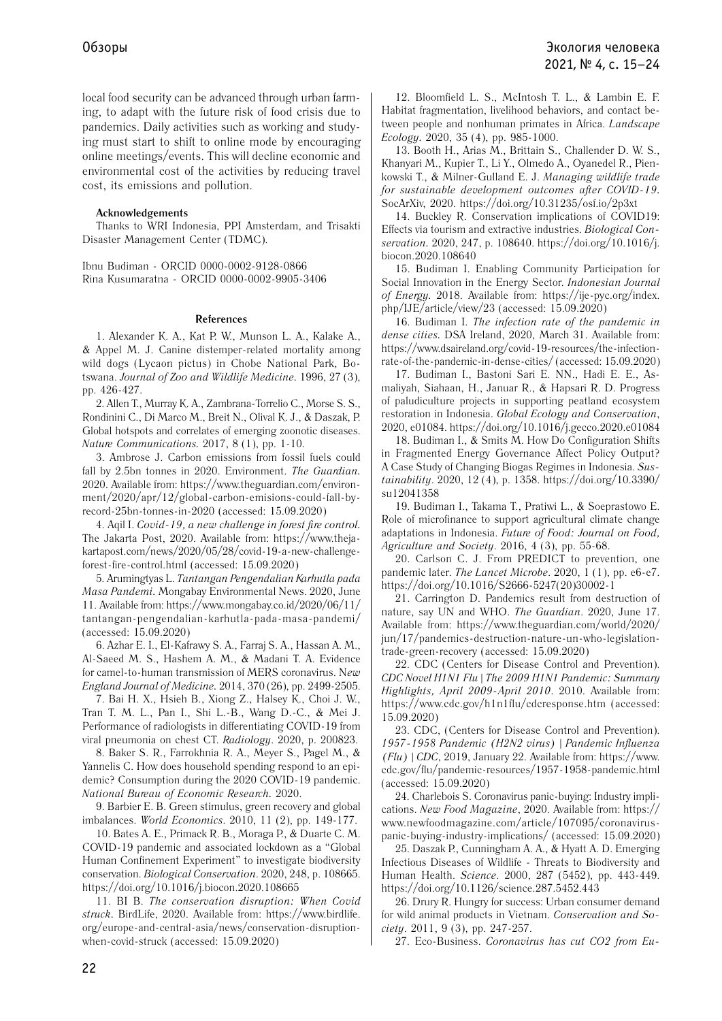local food security can be advanced through urban farming, to adapt with the future risk of food crisis due to pandemics. Daily activities such as working and studying must start to shift to online mode by encouraging online meetings/events. This will decline economic and environmental cost of the activities by reducing travel cost, its emissions and pollution.

#### **Acknowledgements**

Thanks to WRI Indonesia, PPI Amsterdam, and Trisakti Disaster Management Center (TDMC).

Ibnu Budiman - ORCID 0000-0002-9128-0866 Rina Kusumaratna - ORCID 0000-0002-9905-3406

#### **References**

1. Alexander K. A., Kat P. W., Munson L. A., Kalake A., & Appel M. J. Canine distemper-related mortality among wild dogs (Lycaon pictus) in Chobe National Park, Botswana. *Journal of Zoo and Wildlife Medicine.* 1996, 27 (3), pp. 426-427.

2. Allen T., Murray K. A., Zambrana-Torrelio C., Morse S. S., Rondinini C., Di Marco M., Breit N., Olival K. J., & Daszak, P. Global hotspots and correlates of emerging zoonotic diseases. *Nature Communications.* 2017, 8 (1), pp. 1-10.

3. Ambrose J. Carbon emissions from fossil fuels could fall by 2.5bn tonnes in 2020. Environment. *The Guardian.*  2020. Available from: https://www.theguardian.com/environment/2020/apr/12/global-carbon-emisions-could-fall-byrecord-25bn-tonnes-in-2020 (аccessed: 15.09.2020)

4. Aqil I. *Covid-19, a new challenge in forest fire control.*  The Jakarta Post, 2020. Available from: https://www.thejakartapost.com/news/2020/05/28/covid-19-a-new-challengeforest-fire-control.html (аccessed: 15.09.2020)

5. Arumingtyas L. *Tantangan Pengendalian Karhutla pada Masa Pandemi.* Mongabay Environmental News. 2020, June 11. Available from: https://www.mongabay.co.id/2020/06/11/ tantangan-pengendalian-karhutla-pada-masa-pandemi/ (аccessed: 15.09.2020)

6. Azhar E. I., El-Kafrawy S. A., Farraj S. A., Hassan A. M., Al-Saeed M. S., Hashem A. M., & Madani T. A. Evidence for camel-to-human transmission of MERS coronavirus. N*ew England Journal of Medicine.* 2014, 370 (26), pp. 2499-2505.

7. Bai H. X., Hsieh B., Xiong Z., Halsey K., Choi J. W., Tran T. M. L., Pan I., Shi L.-B., Wang D.-C., & Mei J. Performance of radiologists in differentiating COVID-19 from viral pneumonia on chest CT. *Radiology*. 2020, p. 200823.

8. Baker S. R., Farrokhnia R. A., Meyer S., Pagel M., & Yannelis C. How does household spending respond to an epidemic? Consumption during the 2020 COVID-19 pandemic. *National Bureau of Economic Research.* 2020.

9. Barbier E. B. Green stimulus, green recovery and global imbalances. *World Economics*. 2010, 11 (2), pp. 149-177.

10. Bates A. E., Primack R. B., Moraga P., & Duarte C. M. COVID-19 pandemic and associated lockdown as a "Global Human Confinement Experiment" to investigate biodiversity conservation. *Biological Conservation*. 2020, 248, p. 108665. https://doi.org/10.1016/j.biocon.2020.108665

11. BI B. *The conservation disruption: When Covid struck.* BirdLife, 2020. Available from: https://www.birdlife. org/europe-and-central-asia/news/conservation-disruptionwhen-covid-struck (аccessed: 15.09.2020)

12. Bloomfield L. S., McIntosh T. L., & Lambin E. F. Habitat fragmentation, livelihood behaviors, and contact between people and nonhuman primates in Africa. *Landscape Ecology.* 2020, 35 (4), pp. 985-1000.

13. Booth H., Arias M., Brittain S., Challender D. W. S., Khanyari M., Kupier T., Li Y., Olmedo A., Oyanedel R., Pienkowski T., & Milner-Gulland E. J. *Managing wildlife trade for sustainable development outcomes after COVID-19.* SocArXiv, 2020. https://doi.org/10.31235/osf.io/2p3xt

14. Buckley R. Conservation implications of COVID19: Effects via tourism and extractive industries. *Biological Conservation.* 2020, 247, p. 108640. https://doi.org/10.1016/j. biocon.2020.108640

15. Budiman I. Enabling Community Participation for Social Innovation in the Energy Sector. *Indonesian Journal of Energy.* 2018. Available from: https://ije-pyc.org/index. php/IJE/article/view/23 (аccessed: 15.09.2020)

16. Budiman I. *The infection rate of the pandemic in dense cities.* DSA Ireland, 2020, March 31. Available from: https://www.dsaireland.org/covid-19-resources/the-infectionrate-of-the-pandemic-in-dense-cities/ (аccessed: 15.09.2020)

17. Budiman I., Bastoni Sari E. NN., Hadi E. E., Asmaliyah, Siahaan, H., Januar R., & Hapsari R. D. Progress of paludiculture projects in supporting peatland ecosystem restoration in Indonesia. *Global Ecology and Conservation*, 2020, e01084. https://doi.org/10.1016/j.gecco.2020.e01084

18. Budiman I., & Smits M. How Do Configuration Shifts in Fragmented Energy Governance Affect Policy Output? A Case Study of Changing Biogas Regimes in Indonesia. *Sustainability*. 2020, 12 (4), p. 1358. https://doi.org/10.3390/ su12041358

19. Budiman I., Takama T., Pratiwi L., & Soeprastowo E. Role of microfinance to support agricultural climate change adaptations in Indonesia. *Future of Food: Journal on Food, Agriculture and Society*. 2016, 4 (3), pp. 55-68.

20. Carlson C. J. From PREDICT to prevention, one pandemic later. *The Lancet Microbe*. 2020, 1 (1), pp. e6-e7. https://doi.org/10.1016/S2666-5247(20)30002-1

21. Carrington D. Pandemics result from destruction of nature, say UN and WHO. *The Guardian*. 2020, June 17. Available from: https://www.theguardian.com/world/2020/ jun/17/pandemics-destruction-nature-un-who-legislationtrade-green-recovery (аccessed: 15.09.2020)

22. CDC (Centers for Disease Control and Prevention). *CDC Novel H1N1 Flu | The 2009 H1N1 Pandemic: Summary Highlights, April 2009-April 2010*. 2010. Available from: https://www.cdc.gov/h1n1flu/cdcresponse.htm (аccessed: 15.09.2020)

23. CDC, (Centers for Disease Control and Prevention). *1957-1958 Pandemic (H2N2 virus) | Pandemic Influenza (Flu) | CDC*, 2019, January 22. Available from: https://www. cdc.gov/flu/pandemic-resources/1957-1958-pandemic.html (аccessed: 15.09.2020)

24. Charlebois S. Coronavirus panic-buying: Industry implications. *New Food Magazine*, 2020. Available from: https:// www.newfoodmagazine.com/article/107095/coronaviruspanic-buying-industry-implications/ (аccessed: 15.09.2020)

25. Daszak P., Cunningham A. A., & Hyatt A. D. Emerging Infectious Diseases of Wildlife - Threats to Biodiversity and Human Health. *Science*. 2000, 287 (5452), pp. 443-449. https://doi.org/10.1126/science.287.5452.443

26. Drury R. Hungry for success: Urban consumer demand for wild animal products in Vietnam. *Conservation and Society*. 2011, 9 (3), pp. 247-257.

27. Eco-Business. *Coronavirus has cut CO2 from Eu-*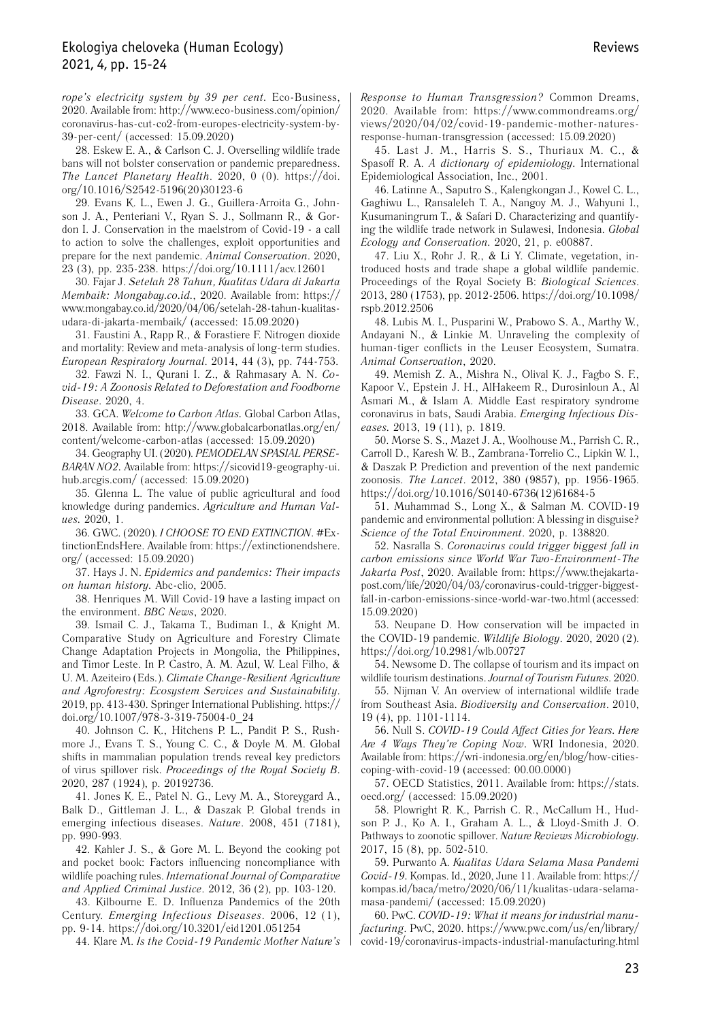*rope's electricity system by 39 per cent.* Eco-Business, 2020. Available from: http://www.eco-business.com/opinion/ coronavirus-has-cut-co2-from-europes-electricity-system-by-39-per-cent/ (аccessed: 15.09.2020)

28. Eskew E. A., & Carlson C. J. Overselling wildlife trade bans will not bolster conservation or pandemic preparedness. *The Lancet Planetary Health*. 2020, 0 (0). https://doi. org/10.1016/S2542-5196(20)30123-6

29. Evans K. L., Ewen J. G., Guillera-Arroita G., Johnson J. A., Penteriani V., Ryan S. J., Sollmann R., & Gordon I. J. Conservation in the maelstrom of Covid-19 - a call to action to solve the challenges, exploit opportunities and prepare for the next pandemic. *Animal Conservation*. 2020, 23 (3), pp. 235-238. https://doi.org/10.1111/acv.12601

30. Fajar J. *Setelah 28 Tahun, Kualitas Udara di Jakarta Membaik: Mongabay.co.id.*, 2020. Available from: https:// www.mongabay.co.id/2020/04/06/setelah-28-tahun-kualitasudara-di-jakarta-membaik/ (аccessed: 15.09.2020)

31. Faustini A., Rapp R., & Forastiere F. Nitrogen dioxide and mortality: Review and meta-analysis of long-term studies. *European Respiratory Journal*. 2014, 44 (3), pp. 744-753.

32. Fawzi N. I., Qurani I. Z., & Rahmasary A. N. *Covid-19: A Zoonosis Related to Deforestation and Foodborne Disease*. 2020, 4.

33. GCA. *Welcome to Carbon Atlas.* Global Carbon Atlas, 2018. Available from: http://www.globalcarbonatlas.org/en/ content/welcome-carbon-atlas (аccessed: 15.09.2020)

34. Geography UI. (2020). *PEMODELAN SPASIAL PERSE-BARAN NO2.* Available from: https://sicovid19-geography-ui. hub.arcgis.com/ (accessed: 15.09.2020)

35. Glenna L. The value of public agricultural and food knowledge during pandemics. *Agriculture and Human Values.* 2020, 1.

36. GWC. (2020). *I CHOOSE TO END EXTINCTION*. #ExtinctionEndsHere. Available from: https://extinctionendshere. org/ (аccessed: 15.09.2020)

37. Hays J. N. *Epidemics and pandemics: Their impacts on human history.* Abc-clio, 2005.

38. Henriques M. Will Covid-19 have a lasting impact on the environment. *BBC News*, 2020.

39. Ismail C. J., Takama T., Budiman I., & Knight M. Comparative Study on Agriculture and Forestry Climate Change Adaptation Projects in Mongolia, the Philippines, and Timor Leste. In P. Castro, A. M. Azul, W. Leal Filho, & U. M. Azeiteiro (Eds.). *Climate Change-Resilient Agriculture and Agroforestry: Ecosystem Services and Sustainability*. 2019, pp. 413-430. Springer International Publishing. https:// doi.org/10.1007/978-3-319-75004-0\_24

40. Johnson C. K., Hitchens P. L., Pandit P. S., Rushmore J., Evans T. S., Young C. C., & Doyle M. M. Global shifts in mammalian population trends reveal key predictors of virus spillover risk. *Proceedings of the Royal Society B*. 2020, 287 (1924), p. 20192736.

41. Jones K. E., Patel N. G., Levy M. A., Storeygard A., Balk D., Gittleman J. L., & Daszak P. Global trends in emerging infectious diseases. *Nature*. 2008, 451 (7181), pp. 990-993.

42. Kahler J. S., & Gore M. L. Beyond the cooking pot and pocket book: Factors influencing noncompliance with wildlife poaching rules. *International Journal of Comparative and Applied Criminal Justice*. 2012, 36 (2), pp. 103-120.

43. Kilbourne E. D. Influenza Pandemics of the 20th Century. *Emerging Infectious Diseases*. 2006, 12 (1), pp. 9-14. https://doi.org/10.3201/eid1201.051254

44. Klare M. *Is the Covid-19 Pandemic Mother Nature's* 

*Response to Human Transgression?* Common Dreams, 2020. Available from: https://www.commondreams.org/ views/2020/04/02/covid-19-pandemic-mother-naturesresponse-human-transgression (аccessed: 15.09.2020)

45. Last J. M., Harris S. S., Thuriaux M. C., & Spasoff R. A. *A dictionary of epidemiology.* International Epidemiological Association, Inc., 2001.

46. Latinne A., Saputro S., Kalengkongan J., Kowel C. L., Gaghiwu L., Ransaleleh T. A., Nangoy M. J., Wahyuni I., Kusumaningrum T., & Safari D. Characterizing and quantifying the wildlife trade network in Sulawesi, Indonesia. *Global Ecology and Conservation.* 2020, 21, p. e00887.

47. Liu X., Rohr J. R., & Li Y. Climate, vegetation, introduced hosts and trade shape a global wildlife pandemic. Proceedings of the Royal Society B: *Biological Sciences*. 2013, 280 (1753), pp. 2012-2506. https://doi.org/10.1098/ rspb.2012.2506

48. Lubis M. I., Pusparini W., Prabowo S. A., Marthy W., Andayani N., & Linkie M. Unraveling the complexity of human-tiger conflicts in the Leuser Ecosystem, Sumatra. *Animal Conservation*, 2020.

49. Memish Z. A., Mishra N., Olival K. J., Fagbo S. F., Kapoor V., Epstein J. H., AlHakeem R., Durosinloun A., Al Asmari M., & Islam A. Middle East respiratory syndrome coronavirus in bats, Saudi Arabia. *Emerging Infectious Diseases.* 2013, 19 (11), p. 1819.

50. Morse S. S., Mazet J. A., Woolhouse M., Parrish C. R., Carroll D., Karesh W. B., Zambrana-Torrelio C., Lipkin W. I., & Daszak P. Prediction and prevention of the next pandemic zoonosis. *The Lancet*. 2012, 380 (9857), pp. 1956-1965. https://doi.org/10.1016/S0140-6736(12)61684-5

51. Muhammad S., Long X., & Salman M. COVID-19 pandemic and environmental pollution: A blessing in disguise? *Science of the Total Environment*. 2020, p. 138820.

52. Nasralla S. *Coronavirus could trigger biggest fall in carbon emissions since World War Two-Environment-The Jakarta Post*, 2020. Available from: https://www.thejakartapost.com/life/2020/04/03/coronavirus-could-trigger-biggestfall-in-carbon-emissions-since-world-war-two.html (аccessed: 15.09.2020)

53. Neupane D. How conservation will be impacted in the COVID-19 pandemic. *Wildlife Biology*. 2020, 2020 (2). https://doi.org/10.2981/wlb.00727

54. Newsome D. The collapse of tourism and its impact on wildlife tourism destinations. *Journal of Tourism Futures*. 2020.

55. Nijman V. An overview of international wildlife trade from Southeast Asia. *Biodiversity and Conservation*. 2010, 19 (4), pp. 1101-1114.

56. Null S. *COVID-19 Could Affect Cities for Years. Here Are 4 Ways They're Coping Now.* WRI Indonesia, 2020. Available from: https://wri-indonesia.org/en/blog/how-citiescoping-with-covid-19 (аccessed: 00.00.0000)

57. OECD Statistics, 2011. Available from: https://stats. oecd.org/ (аccessed: 15.09.2020)

58. Plowright R. K., Parrish C. R., McCallum H., Hudson P. J., Ko A. I., Graham A. L., & Lloyd-Smith J. O. Pathways to zoonotic spillover. *Nature Reviews Microbiology.*  2017, 15 (8), pp. 502-510.

59. Purwanto A. *Kualitas Udara Selama Masa Pandemi Covid-19.* Kompas. Id., 2020, June 11. Available from: https:// kompas.id/baca/metro/2020/06/11/kualitas-udara-selamamasa-pandemi/ (аccessed: 15.09.2020)

60. PwC. *COVID-19: What it means for industrial manufacturing*. PwC, 2020. https://www.pwc.com/us/en/library/ covid-19/coronavirus-impacts-industrial-manufacturing.html